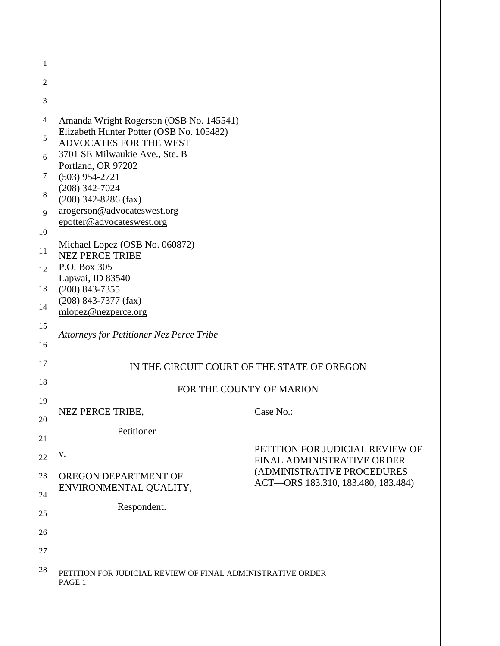| 1        |                                                                      |                                                          |
|----------|----------------------------------------------------------------------|----------------------------------------------------------|
| 2        |                                                                      |                                                          |
| 3        |                                                                      |                                                          |
| 4        | Amanda Wright Rogerson (OSB No. 145541)                              |                                                          |
| 5        | Elizabeth Hunter Potter (OSB No. 105482)<br>ADVOCATES FOR THE WEST   |                                                          |
| 6        | 3701 SE Milwaukie Ave., Ste. B                                       |                                                          |
| 7        | Portland, OR 97202<br>$(503)$ 954-2721                               |                                                          |
| 8        | $(208)$ 342-7024<br>$(208)$ 342-8286 (fax)                           |                                                          |
| 9        | arogerson@advocateswest.org                                          |                                                          |
| 10       | epotter@advocateswest.org                                            |                                                          |
| 11       | Michael Lopez (OSB No. 060872)<br><b>NEZ PERCE TRIBE</b>             |                                                          |
| 12       | P.O. Box 305<br>Lapwai, ID 83540                                     |                                                          |
| 13       | $(208)$ 843-7355                                                     |                                                          |
| 14       | $(208)$ 843-7377 (fax)<br>mlopez@nezperce.org                        |                                                          |
| 15       | <b>Attorneys for Petitioner Nez Perce Tribe</b>                      |                                                          |
| 16       |                                                                      |                                                          |
| 17       | IN THE CIRCUIT COURT OF THE STATE OF OREGON                          |                                                          |
| 18       | FOR THE COUNTY OF MARION                                             |                                                          |
| 19       | NEZ PERCE TRIBE,                                                     | Case No.:                                                |
| 20       | Petitioner                                                           |                                                          |
| 21       |                                                                      | PETITION FOR JUDICIAL REVIEW OF                          |
| 22       | V.                                                                   | FINAL ADMINISTRATIVE ORDER<br>(ADMINISTRATIVE PROCEDURES |
| 23       | OREGON DEPARTMENT OF<br>ENVIRONMENTAL QUALITY,                       | ACT-ORS 183.310, 183.480, 183.484)                       |
| 24       | Respondent.                                                          |                                                          |
| 25       |                                                                      |                                                          |
| 26       |                                                                      |                                                          |
| 27<br>28 |                                                                      |                                                          |
|          | PETITION FOR JUDICIAL REVIEW OF FINAL ADMINISTRATIVE ORDER<br>PAGE 1 |                                                          |
|          |                                                                      |                                                          |
|          |                                                                      |                                                          |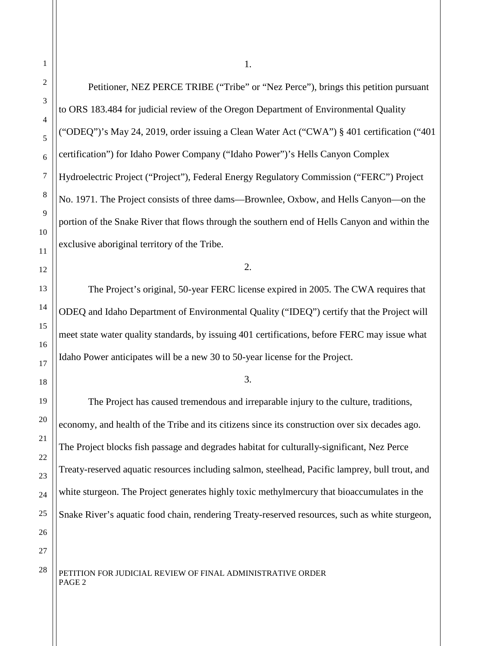Petitioner, NEZ PERCE TRIBE ("Tribe" or "Nez Perce"), brings this petition pursuant to ORS 183.484 for judicial review of the Oregon Department of Environmental Quality ("ODEQ")'s May 24, 2019, order issuing a Clean Water Act ("CWA") § 401 certification ("401 certification") for Idaho Power Company ("Idaho Power")'s Hells Canyon Complex Hydroelectric Project ("Project"), Federal Energy Regulatory Commission ("FERC") Project No. 1971. The Project consists of three dams—Brownlee, Oxbow, and Hells Canyon—on the portion of the Snake River that flows through the southern end of Hells Canyon and within the exclusive aboriginal territory of the Tribe.

2.

The Project's original, 50-year FERC license expired in 2005. The CWA requires that ODEQ and Idaho Department of Environmental Quality ("IDEQ") certify that the Project will meet state water quality standards, by issuing 401 certifications, before FERC may issue what Idaho Power anticipates will be a new 30 to 50-year license for the Project.

#### 3.

The Project has caused tremendous and irreparable injury to the culture, traditions, economy, and health of the Tribe and its citizens since its construction over six decades ago. The Project blocks fish passage and degrades habitat for culturally-significant, Nez Perce Treaty-reserved aquatic resources including salmon, steelhead, Pacific lamprey, bull trout, and white sturgeon. The Project generates highly toxic methylmercury that bioaccumulates in the Snake River's aquatic food chain, rendering Treaty-reserved resources, such as white sturgeon,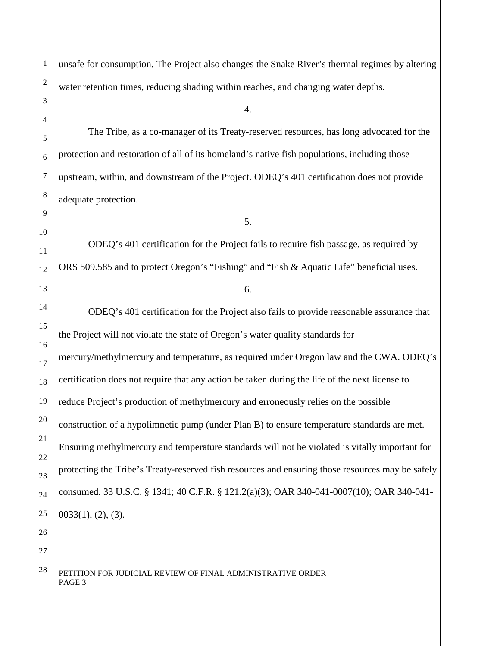unsafe for consumption. The Project also changes the Snake River's thermal regimes by altering water retention times, reducing shading within reaches, and changing water depths.

4.

The Tribe, as a co-manager of its Treaty-reserved resources, has long advocated for the protection and restoration of all of its homeland's native fish populations, including those upstream, within, and downstream of the Project. ODEQ's 401 certification does not provide adequate protection.

5.

ODEQ's 401 certification for the Project fails to require fish passage, as required by ORS 509.585 and to protect Oregon's "Fishing" and "Fish & Aquatic Life" beneficial uses.

6.

ODEQ's 401 certification for the Project also fails to provide reasonable assurance that the Project will not violate the state of Oregon's water quality standards for mercury/methylmercury and temperature, as required under Oregon law and the CWA. ODEQ's certification does not require that any action be taken during the life of the next license to reduce Project's production of methylmercury and erroneously relies on the possible construction of a hypolimnetic pump (under Plan B) to ensure temperature standards are met. Ensuring methylmercury and temperature standards will not be violated is vitally important for protecting the Tribe's Treaty-reserved fish resources and ensuring those resources may be safely consumed. 33 U.S.C. § 1341; 40 C.F.R. § 121.2(a)(3); OAR 340-041-0007(10); OAR 340-041-  $0033(1)$ ,  $(2)$ ,  $(3)$ .

27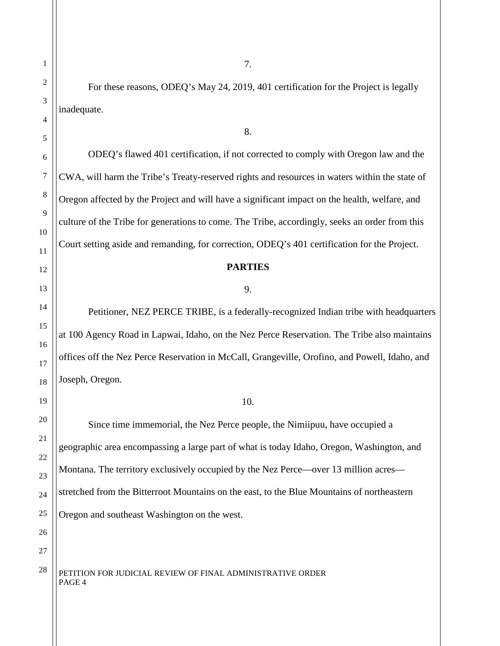For these reasons, ODEQ's May 24, 2019, 401 certification for the Project is legally inadequate.

7.

8.

ODEQ's flawed 401 certification, if not corrected to comply with Oregon law and the CWA, will harm the Tribe's Treaty-reserved rights and resources in waters within the state of Oregon affected by the Project and will have a significant impact on the health, welfare, and culture of the Tribe for generations to come. The Tribe, accordingly, seeks an order from this Court setting aside and remanding, for correction, ODEQ's 401 certification for the Project.

#### **PARTIES**

#### 9.

Petitioner, NEZ PERCE TRIBE, is a federally-recognized Indian tribe with headquarters at 100 Agency Road in Lapwai, Idaho, on the Nez Perce Reservation. The Tribe also maintains offices off the Nez Perce Reservation in McCall, Grangeville, Orofino, and Powell, Idaho, and Joseph, Oregon.

#### 10.

Since time immemorial, the Nez Perce people, the Nimiipuu, have occupied a geographic area encompassing a large part of what is today Idaho, Oregon, Washington, and Montana. The territory exclusively occupied by the Nez Perce—over 13 million acres stretched from the Bitterroot Mountains on the east, to the Blue Mountains of northeastern Oregon and southeast Washington on the west.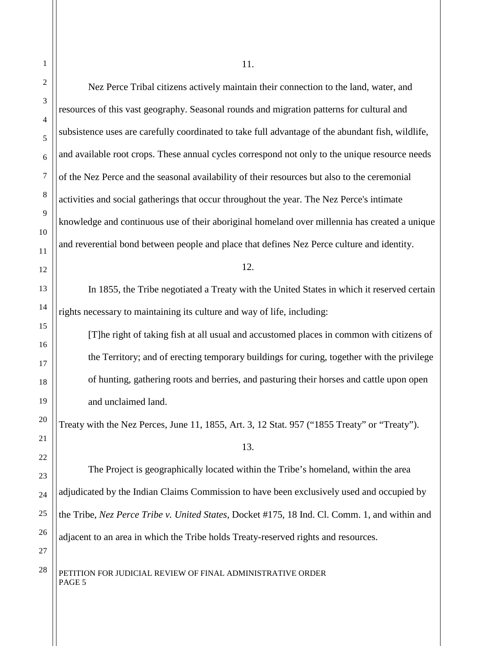| 1              | 11.                                                                                               |
|----------------|---------------------------------------------------------------------------------------------------|
| $\overline{c}$ | Nez Perce Tribal citizens actively maintain their connection to the land, water, and              |
| 3              | resources of this vast geography. Seasonal rounds and migration patterns for cultural and         |
| 4<br>5         | subsistence uses are carefully coordinated to take full advantage of the abundant fish, wildlife, |
| 6              | and available root crops. These annual cycles correspond not only to the unique resource needs    |
| 7              | of the Nez Perce and the seasonal availability of their resources but also to the ceremonial      |
| 8              | activities and social gatherings that occur throughout the year. The Nez Perce's intimate         |
| 9              | knowledge and continuous use of their aboriginal homeland over millennia has created a unique     |
| 10             | and reverential bond between people and place that defines Nez Perce culture and identity.        |
| 11<br>12       | 12.                                                                                               |
| 13             | In 1855, the Tribe negotiated a Treaty with the United States in which it reserved certain        |
| 14             | rights necessary to maintaining its culture and way of life, including:                           |
| 15             | [T]he right of taking fish at all usual and accustomed places in common with citizens of          |
| 16             | the Territory; and of erecting temporary buildings for curing, together with the privilege        |
| 17<br>18       | of hunting, gathering roots and berries, and pasturing their horses and cattle upon open          |
| 19             | and unclaimed land.                                                                               |
| 20             | Treaty with the Nez Perces, June 11, 1855, Art. 3, 12 Stat. 957 ("1855 Treaty" or "Treaty").      |
| 21             | 13.                                                                                               |
| 22             | The Project is geographically located within the Tribe's homeland, within the area                |
| 23             | adjudicated by the Indian Claims Commission to have been exclusively used and occupied by         |
| 24<br>25       | the Tribe, Nez Perce Tribe v. United States, Docket #175, 18 Ind. Cl. Comm. 1, and within and     |
| 26             | adjacent to an area in which the Tribe holds Treaty-reserved rights and resources.                |
| 27             |                                                                                                   |
| 28             | PETITION FOR JUDICIAL REVIEW OF FINAL ADMINISTRATIVE ORDER<br>PAGE 5                              |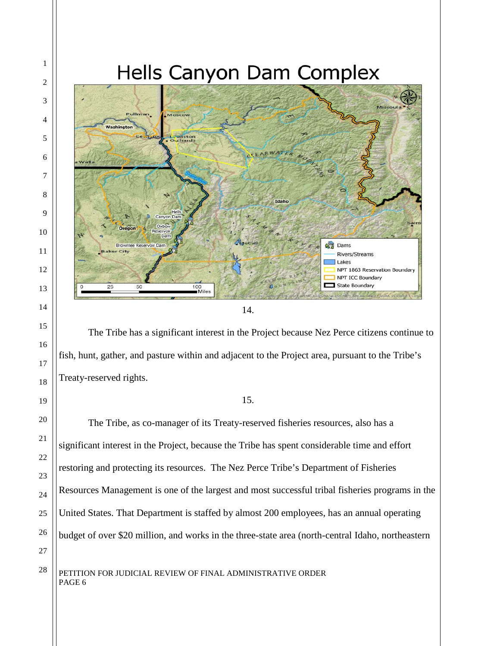

<sup>14.</sup>

The Tribe has a significant interest in the Project because Nez Perce citizens continue to fish, hunt, gather, and pasture within and adjacent to the Project area, pursuant to the Tribe's Treaty-reserved rights.

#### 15.

The Tribe, as co-manager of its Treaty-reserved fisheries resources, also has a significant interest in the Project, because the Tribe has spent considerable time and effort restoring and protecting its resources. The Nez Perce Tribe's Department of Fisheries Resources Management is one of the largest and most successful tribal fisheries programs in the United States. That Department is staffed by almost 200 employees, has an annual operating budget of over \$20 million, and works in the three-state area (north-central Idaho, northeastern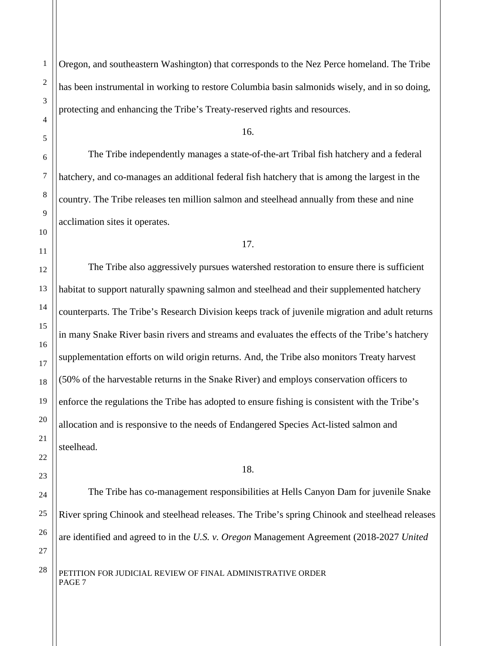Oregon, and southeastern Washington) that corresponds to the Nez Perce homeland. The Tribe has been instrumental in working to restore Columbia basin salmonids wisely, and in so doing, protecting and enhancing the Tribe's Treaty-reserved rights and resources.

16.

The Tribe independently manages a state-of-the-art Tribal fish hatchery and a federal hatchery, and co-manages an additional federal fish hatchery that is among the largest in the country. The Tribe releases ten million salmon and steelhead annually from these and nine acclimation sites it operates.

17.

The Tribe also aggressively pursues watershed restoration to ensure there is sufficient habitat to support naturally spawning salmon and steelhead and their supplemented hatchery counterparts. The Tribe's Research Division keeps track of juvenile migration and adult returns in many Snake River basin rivers and streams and evaluates the effects of the Tribe's hatchery supplementation efforts on wild origin returns. And, the Tribe also monitors Treaty harvest (50% of the harvestable returns in the Snake River) and employs conservation officers to enforce the regulations the Tribe has adopted to ensure fishing is consistent with the Tribe's allocation and is responsive to the needs of Endangered Species Act-listed salmon and steelhead.

18.

The Tribe has co-management responsibilities at Hells Canyon Dam for juvenile Snake River spring Chinook and steelhead releases. The Tribe's spring Chinook and steelhead releases are identified and agreed to in the *U.S. v. Oregon* Management Agreement (2018-2027 *United*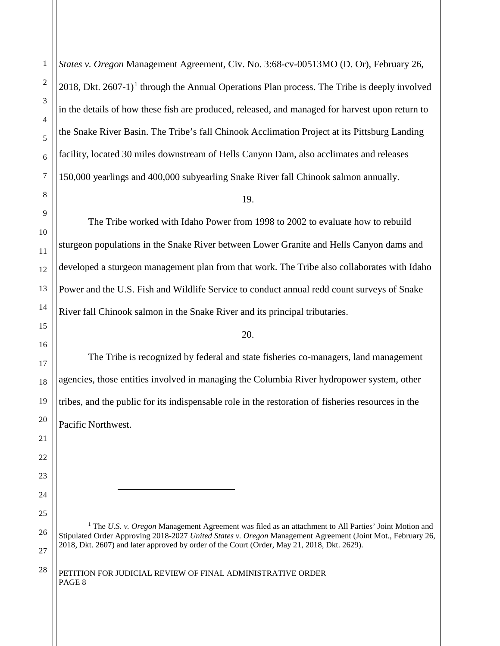*States v. Oregon* Management Agreement, Civ. No. 3:68-cv-00513MO (D. Or), February 26, 20[1](#page-7-0)8, Dkt.  $2607-1$ <sup>1</sup> through the Annual Operations Plan process. The Tribe is deeply involved in the details of how these fish are produced, released, and managed for harvest upon return to the Snake River Basin. The Tribe's fall Chinook Acclimation Project at its Pittsburg Landing facility, located 30 miles downstream of Hells Canyon Dam, also acclimates and releases 150,000 yearlings and 400,000 subyearling Snake River fall Chinook salmon annually.

#### 19.

The Tribe worked with Idaho Power from 1998 to 2002 to evaluate how to rebuild sturgeon populations in the Snake River between Lower Granite and Hells Canyon dams and developed a sturgeon management plan from that work. The Tribe also collaborates with Idaho Power and the U.S. Fish and Wildlife Service to conduct annual redd count surveys of Snake River fall Chinook salmon in the Snake River and its principal tributaries.

#### 20.

The Tribe is recognized by federal and state fisheries co-managers, land management agencies, those entities involved in managing the Columbia River hydropower system, other tribes, and the public for its indispensable role in the restoration of fisheries resources in the Pacific Northwest.

<span id="page-7-0"></span><sup>1</sup> The *U.S. v. Oregon* Management Agreement was filed as an attachment to All Parties' Joint Motion and Stipulated Order Approving 2018-2027 *United States v. Oregon* Management Agreement (Joint Mot., February 26, 2018, Dkt. 2607) and later approved by order of the Court (Order, May 21, 2018, Dkt. 2629).

#### $28$  | PETITION FOR JUDICIAL REVIEW OF FINAL ADMINISTRATIVE ORDER PAGE 8

 $\overline{a}$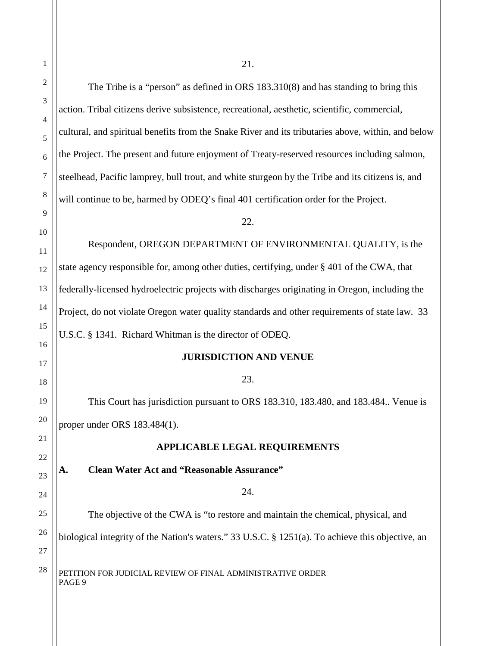| 1        | 21.                                                                                                |  |
|----------|----------------------------------------------------------------------------------------------------|--|
| 2        | The Tribe is a "person" as defined in ORS 183.310(8) and has standing to bring this                |  |
| 3        | action. Tribal citizens derive subsistence, recreational, aesthetic, scientific, commercial,       |  |
| 4        | cultural, and spiritual benefits from the Snake River and its tributaries above, within, and below |  |
| 5<br>6   | the Project. The present and future enjoyment of Treaty-reserved resources including salmon,       |  |
| 7        | steelhead, Pacific lamprey, bull trout, and white sturgeon by the Tribe and its citizens is, and   |  |
| 8        | will continue to be, harmed by ODEQ's final 401 certification order for the Project.               |  |
| 9        | 22.                                                                                                |  |
| 10       |                                                                                                    |  |
| 11       | Respondent, OREGON DEPARTMENT OF ENVIRONMENTAL QUALITY, is the                                     |  |
| 12       | state agency responsible for, among other duties, certifying, under § 401 of the CWA, that         |  |
| 13       | federally-licensed hydroelectric projects with discharges originating in Oregon, including the     |  |
| 14       | Project, do not violate Oregon water quality standards and other requirements of state law. 33     |  |
| 15       | U.S.C. § 1341. Richard Whitman is the director of ODEQ.                                            |  |
| 16       | <b>JURISDICTION AND VENUE</b>                                                                      |  |
| 17<br>18 | 23.                                                                                                |  |
| 19       | This Court has jurisdiction pursuant to ORS 183.310, 183.480, and 183.484 Venue is                 |  |
| 20       | proper under ORS 183.484(1).                                                                       |  |
| 21       |                                                                                                    |  |
| 22       | <b>APPLICABLE LEGAL REQUIREMENTS</b>                                                               |  |
| 23       | <b>Clean Water Act and "Reasonable Assurance"</b><br>A.                                            |  |
| 24       | 24.                                                                                                |  |
| 25       | The objective of the CWA is "to restore and maintain the chemical, physical, and                   |  |
| 26       | biological integrity of the Nation's waters." 33 U.S.C. § 1251(a). To achieve this objective, an   |  |
| 27       |                                                                                                    |  |
| 28       | PETITION FOR JUDICIAL REVIEW OF FINAL ADMINISTRATIVE ORDER<br>PAGE 9                               |  |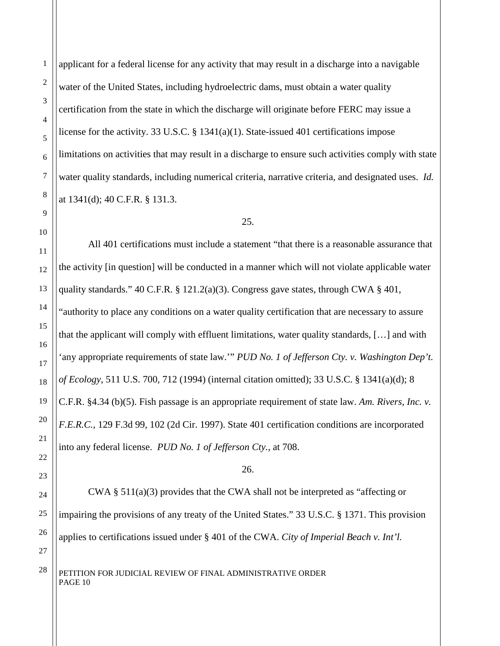applicant for a federal license for any activity that may result in a discharge into a navigable water of the United States, including hydroelectric dams, must obtain a water quality certification from the state in which the discharge will originate before FERC may issue a license for the activity. 33 U.S.C.  $\S$  1341(a)(1). State-issued 401 certifications impose limitations on activities that may result in a discharge to ensure such activities comply with state water quality standards, including numerical criteria, narrative criteria, and designated uses. *Id.* at 1341(d); 40 C.F.R. § 131.3.

#### 25.

All 401 certifications must include a statement "that there is a reasonable assurance that the activity [in question] will be conducted in a manner which will not violate applicable water quality standards." 40 C.F.R.  $\S$  121.2(a)(3). Congress gave states, through CWA  $\S$  401, "authority to place any conditions on a water quality certification that are necessary to assure that the applicant will comply with effluent limitations, water quality standards, […] and with 'any appropriate requirements of state law.'" *PUD No. 1 of Jefferson Cty. v. Washington Dep't. of Ecology*, 511 U.S. 700, 712 (1994) (internal citation omitted); 33 U.S.C. § 1341(a)(d); 8 C.F.R. §4.34 (b)(5). Fish passage is an appropriate requirement of state law. *Am. Rivers, Inc. v. F.E.R.C.*, 129 F.3d 99, 102 (2d Cir. 1997). State 401 certification conditions are incorporated into any federal license. *PUD No. 1 of Jefferson Cty.*, at 708.

#### 26.

CWA § 511(a)(3) provides that the CWA shall not be interpreted as "affecting or impairing the provisions of any treaty of the United States." 33 U.S.C. § 1371. This provision applies to certifications issued under § 401 of the CWA. *City of Imperial Beach v. Int'l.*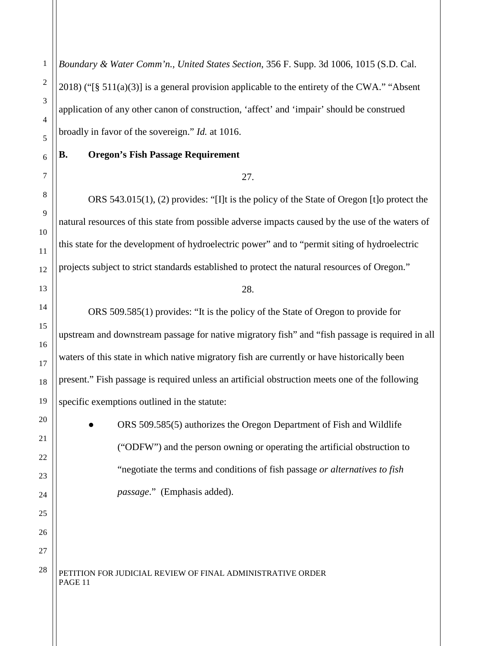*Boundary & Water Comm'n., United States Section*, 356 F. Supp. 3d 1006, 1015 (S.D. Cal. 2018) ("[§ 511(a)(3)] is a general provision applicable to the entirety of the CWA." "Absent application of any other canon of construction, 'affect' and 'impair' should be construed broadly in favor of the sovereign." *Id.* at 1016.

#### **B. Oregon's Fish Passage Requirement**

#### 27.

ORS 543.015(1), (2) provides: "[I]t is the policy of the State of Oregon [t]o protect the natural resources of this state from possible adverse impacts caused by the use of the waters of this state for the development of hydroelectric power" and to "permit siting of hydroelectric projects subject to strict standards established to protect the natural resources of Oregon."

28.

ORS 509.585(1) provides: "It is the policy of the State of Oregon to provide for upstream and downstream passage for native migratory fish" and "fish passage is required in all waters of this state in which native migratory fish are currently or have historically been present." Fish passage is required unless an artificial obstruction meets one of the following specific exemptions outlined in the statute:

> ORS 509.585(5) authorizes the Oregon Department of Fish and Wildlife ("ODFW") and the person owning or operating the artificial obstruction to "negotiate the terms and conditions of fish passage *or alternatives to fish passage*." (Emphasis added).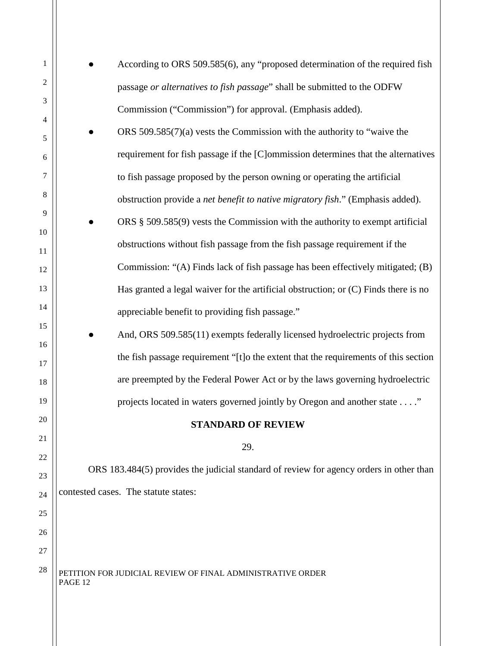| 1              | According to ORS 509.585(6), any "proposed determination of the required fish           |
|----------------|-----------------------------------------------------------------------------------------|
| $\overline{c}$ | passage or alternatives to fish passage" shall be submitted to the ODFW                 |
| 3              | Commission ("Commission") for approval. (Emphasis added).                               |
| 4              | ORS $509.585(7)(a)$ vests the Commission with the authority to "waive the               |
| 5              | requirement for fish passage if the [C]ommission determines that the alternatives       |
| 6<br>7         |                                                                                         |
| 8              | to fish passage proposed by the person owning or operating the artificial               |
|                | obstruction provide a net benefit to native migratory fish." (Emphasis added).          |
| 9<br>10        | ORS $\S$ 509.585(9) vests the Commission with the authority to exempt artificial        |
| 11             | obstructions without fish passage from the fish passage requirement if the              |
| 12             | Commission: "(A) Finds lack of fish passage has been effectively mitigated; (B)         |
| 13             | Has granted a legal waiver for the artificial obstruction; or $(C)$ Finds there is no   |
| 14             | appreciable benefit to providing fish passage."                                         |
| 15             | And, ORS 509.585(11) exempts federally licensed hydroelectric projects from             |
| 16             |                                                                                         |
| 17             | the fish passage requirement "[t]o the extent that the requirements of this section     |
| 18             | are preempted by the Federal Power Act or by the laws governing hydroelectric           |
| 19             | projects located in waters governed jointly by Oregon and another state"                |
| 20             | <b>STANDARD OF REVIEW</b>                                                               |
| 21             | 29.                                                                                     |
| 22             |                                                                                         |
| 23             | ORS 183.484(5) provides the judicial standard of review for agency orders in other than |
| 24             | contested cases. The statute states:                                                    |
| 25             |                                                                                         |
| 26             |                                                                                         |
| 27             |                                                                                         |
| 28             | PETITION FOR JUDICIAL REVIEW OF FINAL ADMINISTRATIVE ORDER<br>PAGE 12                   |
|                |                                                                                         |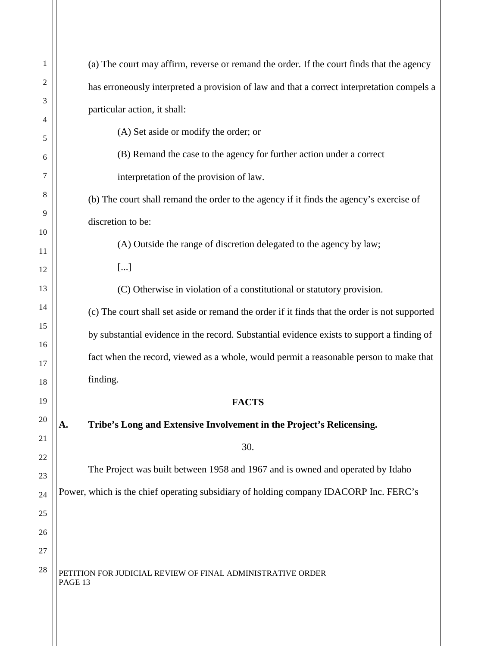| 1       | (a) The court may affirm, reverse or remand the order. If the court finds that the agency     |
|---------|-----------------------------------------------------------------------------------------------|
| 2       | has erroneously interpreted a provision of law and that a correct interpretation compels a    |
| 3       | particular action, it shall:                                                                  |
| 4       | (A) Set aside or modify the order; or                                                         |
| 5       | (B) Remand the case to the agency for further action under a correct                          |
| 6<br>7  |                                                                                               |
|         | interpretation of the provision of law.                                                       |
| 8       | (b) The court shall remand the order to the agency if it finds the agency's exercise of       |
| 9<br>10 | discretion to be:                                                                             |
| 11      | (A) Outside the range of discretion delegated to the agency by law;                           |
| 12      | $[]$                                                                                          |
| 13      | (C) Otherwise in violation of a constitutional or statutory provision.                        |
| 14      | (c) The court shall set aside or remand the order if it finds that the order is not supported |
| 15      | by substantial evidence in the record. Substantial evidence exists to support a finding of    |
| 16      | fact when the record, viewed as a whole, would permit a reasonable person to make that        |
| 17      |                                                                                               |
| 18      | finding.                                                                                      |
| 19      | <b>FACTS</b>                                                                                  |
| 20      | A.<br>Tribe's Long and Extensive Involvement in the Project's Relicensing.                    |
| 21      | 30.                                                                                           |
| 22      | The Project was built between 1958 and 1967 and is owned and operated by Idaho                |
| 23      |                                                                                               |
| 24      | Power, which is the chief operating subsidiary of holding company IDACORP Inc. FERC's         |
| 25      |                                                                                               |
| 26      |                                                                                               |
| 27      |                                                                                               |
| 28      | PETITION FOR JUDICIAL REVIEW OF FINAL ADMINISTRATIVE ORDER<br>PAGE 13                         |
|         |                                                                                               |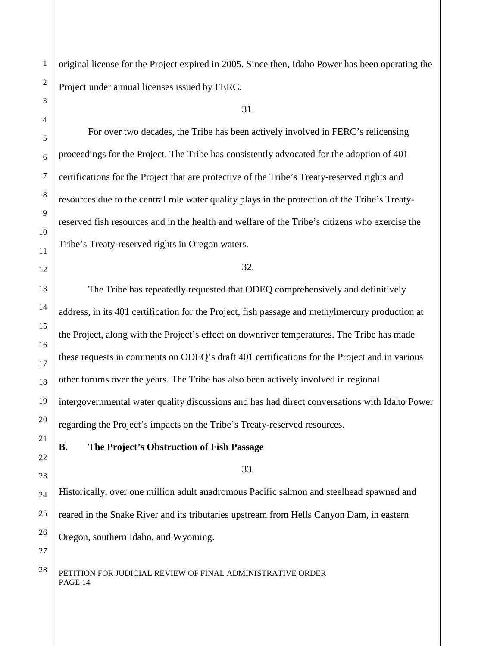original license for the Project expired in 2005. Since then, Idaho Power has been operating the Project under annual licenses issued by FERC.

31.

For over two decades, the Tribe has been actively involved in FERC's relicensing proceedings for the Project. The Tribe has consistently advocated for the adoption of 401 certifications for the Project that are protective of the Tribe's Treaty-reserved rights and resources due to the central role water quality plays in the protection of the Tribe's Treatyreserved fish resources and in the health and welfare of the Tribe's citizens who exercise the Tribe's Treaty-reserved rights in Oregon waters.

32.

The Tribe has repeatedly requested that ODEQ comprehensively and definitively address, in its 401 certification for the Project, fish passage and methylmercury production at the Project, along with the Project's effect on downriver temperatures. The Tribe has made these requests in comments on ODEQ's draft 401 certifications for the Project and in various other forums over the years. The Tribe has also been actively involved in regional intergovernmental water quality discussions and has had direct conversations with Idaho Power regarding the Project's impacts on the Tribe's Treaty-reserved resources.

#### **B. The Project's Obstruction of Fish Passage**

33.

Historically, over one million adult anadromous Pacific salmon and steelhead spawned and reared in the Snake River and its tributaries upstream from Hells Canyon Dam, in eastern Oregon, southern Idaho, and Wyoming.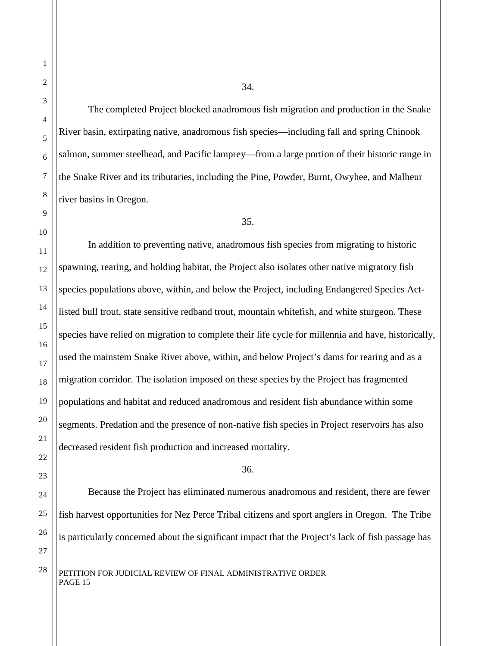The completed Project blocked anadromous fish migration and production in the Snake River basin, extirpating native, anadromous fish species—including fall and spring Chinook salmon, summer steelhead, and Pacific lamprey—from a large portion of their historic range in the Snake River and its tributaries, including the Pine, Powder, Burnt, Owyhee, and Malheur river basins in Oregon.

#### 35.

In addition to preventing native, anadromous fish species from migrating to historic spawning, rearing, and holding habitat, the Project also isolates other native migratory fish species populations above, within, and below the Project, including Endangered Species Actlisted bull trout, state sensitive redband trout, mountain whitefish, and white sturgeon. These species have relied on migration to complete their life cycle for millennia and have, historically, used the mainstem Snake River above, within, and below Project's dams for rearing and as a migration corridor. The isolation imposed on these species by the Project has fragmented populations and habitat and reduced anadromous and resident fish abundance within some segments. Predation and the presence of non-native fish species in Project reservoirs has also decreased resident fish production and increased mortality.

#### 36.

Because the Project has eliminated numerous anadromous and resident, there are fewer fish harvest opportunities for Nez Perce Tribal citizens and sport anglers in Oregon. The Tribe is particularly concerned about the significant impact that the Project's lack of fish passage has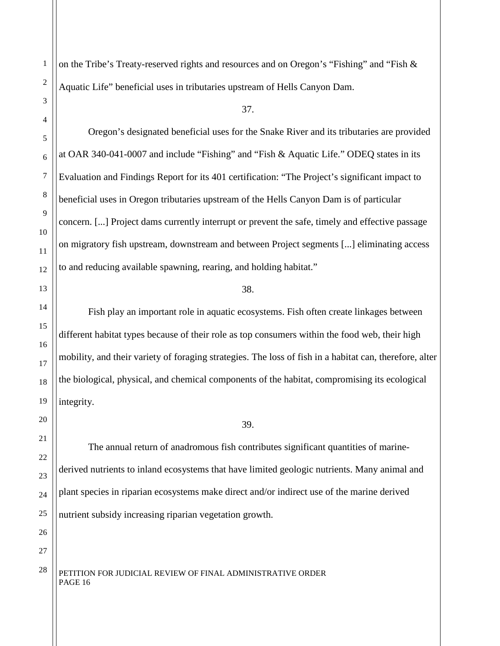1

on the Tribe's Treaty-reserved rights and resources and on Oregon's "Fishing" and "Fish & Aquatic Life" beneficial uses in tributaries upstream of Hells Canyon Dam.

37.

Oregon's designated beneficial uses for the Snake River and its tributaries are provided at OAR 340-041-0007 and include "Fishing" and "Fish & Aquatic Life." ODEQ states in its Evaluation and Findings Report for its 401 certification: "The Project's significant impact to beneficial uses in Oregon tributaries upstream of the Hells Canyon Dam is of particular concern. [...] Project dams currently interrupt or prevent the safe, timely and effective passage on migratory fish upstream, downstream and between Project segments [...] eliminating access to and reducing available spawning, rearing, and holding habitat."

#### 38.

Fish play an important role in aquatic ecosystems. Fish often create linkages between different habitat types because of their role as top consumers within the food web, their high mobility, and their variety of foraging strategies. The loss of fish in a habitat can, therefore, alter the biological, physical, and chemical components of the habitat, compromising its ecological integrity.

#### 39.

The annual return of anadromous fish contributes significant quantities of marinederived nutrients to inland ecosystems that have limited geologic nutrients. Many animal and plant species in riparian ecosystems make direct and/or indirect use of the marine derived nutrient subsidy increasing riparian vegetation growth.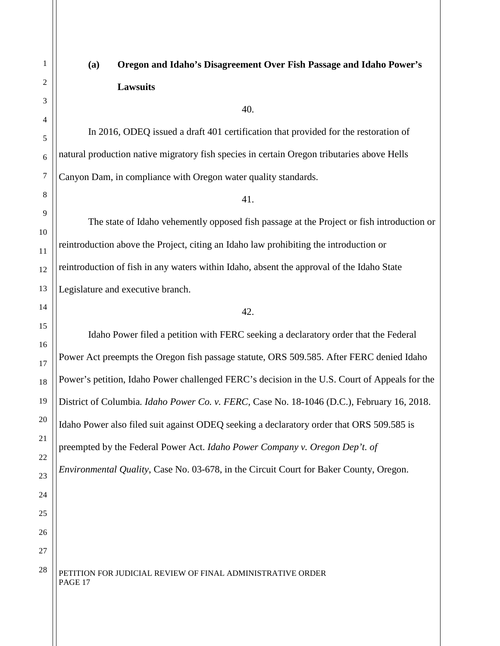# **(a) Oregon and Idaho's Disagreement Over Fish Passage and Idaho Power's Lawsuits**

40.

In 2016, ODEQ issued a draft 401 certification that provided for the restoration of natural production native migratory fish species in certain Oregon tributaries above Hells Canyon Dam, in compliance with Oregon water quality standards.

41.

The state of Idaho vehemently opposed fish passage at the Project or fish introduction or reintroduction above the Project, citing an Idaho law prohibiting the introduction or reintroduction of fish in any waters within Idaho, absent the approval of the Idaho State Legislature and executive branch.

42.

Idaho Power filed a petition with FERC seeking a declaratory order that the Federal Power Act preempts the Oregon fish passage statute, ORS 509.585. After FERC denied Idaho Power's petition, Idaho Power challenged FERC's decision in the U.S. Court of Appeals for the District of Columbia*. Idaho Power Co. v. FERC*, Case No. 18-1046 (D.C.), February 16, 2018. Idaho Power also filed suit against ODEQ seeking a declaratory order that ORS 509.585 is preempted by the Federal Power Act. *Idaho Power Company v. Oregon Dep't. of Environmental Quality*, Case No. 03-678, in the Circuit Court for Baker County, Oregon.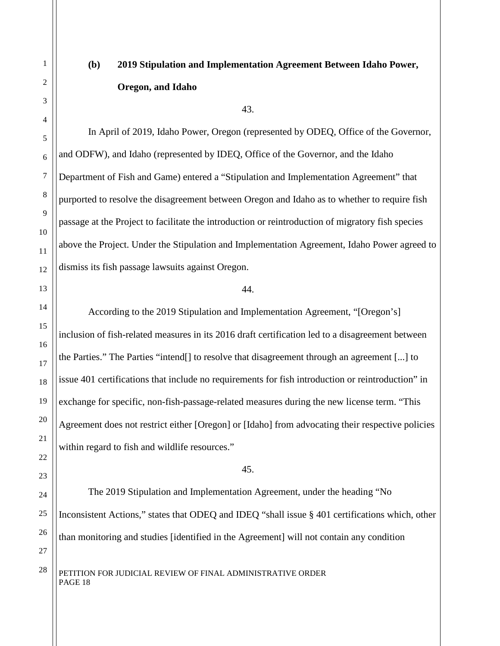## **(b) 2019 Stipulation and Implementation Agreement Between Idaho Power, Oregon, and Idaho**

43.

In April of 2019, Idaho Power, Oregon (represented by ODEQ, Office of the Governor, and ODFW), and Idaho (represented by IDEQ, Office of the Governor, and the Idaho Department of Fish and Game) entered a "Stipulation and Implementation Agreement" that purported to resolve the disagreement between Oregon and Idaho as to whether to require fish passage at the Project to facilitate the introduction or reintroduction of migratory fish species above the Project. Under the Stipulation and Implementation Agreement, Idaho Power agreed to dismiss its fish passage lawsuits against Oregon.

#### 44.

According to the 2019 Stipulation and Implementation Agreement, "[Oregon's] inclusion of fish-related measures in its 2016 draft certification led to a disagreement between the Parties." The Parties "intend[] to resolve that disagreement through an agreement [...] to issue 401 certifications that include no requirements for fish introduction or reintroduction" in exchange for specific, non-fish-passage-related measures during the new license term. "This Agreement does not restrict either [Oregon] or [Idaho] from advocating their respective policies within regard to fish and wildlife resources."

#### 45.

The 2019 Stipulation and Implementation Agreement, under the heading "No Inconsistent Actions," states that ODEQ and IDEQ "shall issue § 401 certifications which, other than monitoring and studies [identified in the Agreement] will not contain any condition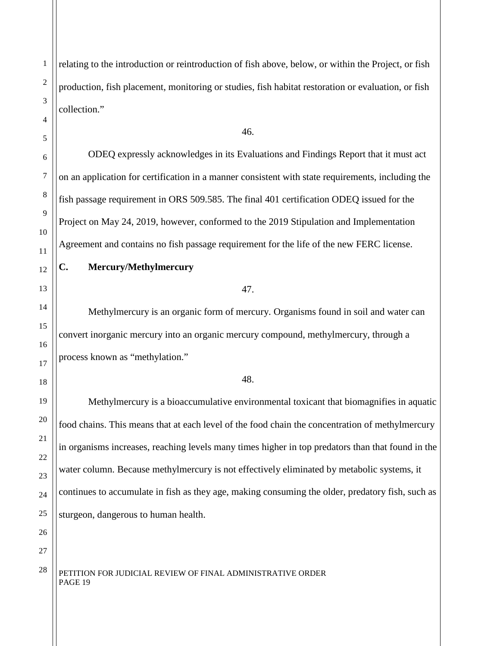relating to the introduction or reintroduction of fish above, below, or within the Project, or fish production, fish placement, monitoring or studies, fish habitat restoration or evaluation, or fish collection."

#### 46.

ODEQ expressly acknowledges in its Evaluations and Findings Report that it must act on an application for certification in a manner consistent with state requirements, including the fish passage requirement in ORS 509.585. The final 401 certification ODEQ issued for the Project on May 24, 2019, however, conformed to the 2019 Stipulation and Implementation Agreement and contains no fish passage requirement for the life of the new FERC license.

### **C. Mercury/Methylmercury**

#### 47.

Methylmercury is an organic form of mercury. Organisms found in soil and water can convert inorganic mercury into an organic mercury compound, methylmercury, through a process known as "methylation."

#### 48.

Methylmercury is a bioaccumulative environmental toxicant that biomagnifies in aquatic food chains. This means that at each level of the food chain the concentration of methylmercury in organisms increases, reaching levels many times higher in top predators than that found in the water column. Because methylmercury is not effectively eliminated by metabolic systems, it continues to accumulate in fish as they age, making consuming the older, predatory fish, such as sturgeon, dangerous to human health.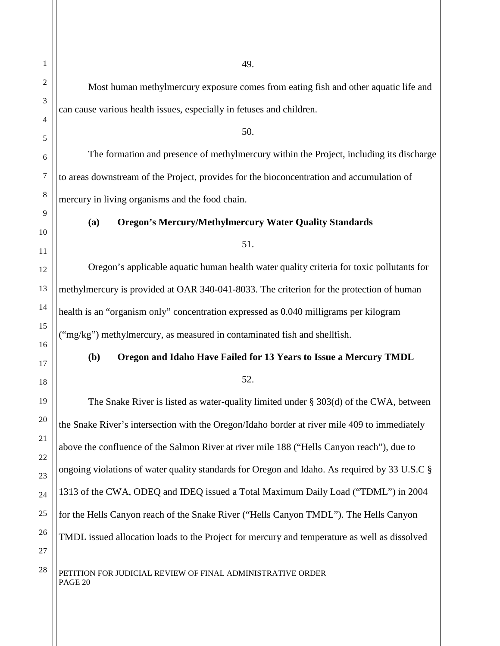Most human methylmercury exposure comes from eating fish and other aquatic life and can cause various health issues, especially in fetuses and children. 50. The formation and presence of methylmercury within the Project, including its discharge to areas downstream of the Project, provides for the bioconcentration and accumulation of mercury in living organisms and the food chain. **(a) Oregon's Mercury/Methylmercury Water Quality Standards** 51. Oregon's applicable aquatic human health water quality criteria for toxic pollutants for methylmercury is provided at OAR 340-041-8033. The criterion for the protection of human health is an "organism only" concentration expressed as 0.040 milligrams per kilogram ("mg/kg") methylmercury, as measured in contaminated fish and shellfish. **(b) Oregon and Idaho Have Failed for 13 Years to Issue a Mercury TMDL** 52. The Snake River is listed as water-quality limited under § 303(d) of the CWA, between the Snake River's intersection with the Oregon/Idaho border at river mile 409 to immediately above the confluence of the Salmon River at river mile 188 ("Hells Canyon reach"), due to ongoing violations of water quality standards for Oregon and Idaho. As required by 33 U.S.C § 1313 of the CWA, ODEQ and IDEQ issued a Total Maximum Daily Load ("TDML") in 2004 for the Hells Canyon reach of the Snake River ("Hells Canyon TMDL"). The Hells Canyon

TMDL issued allocation loads to the Project for mercury and temperature as well as dissolved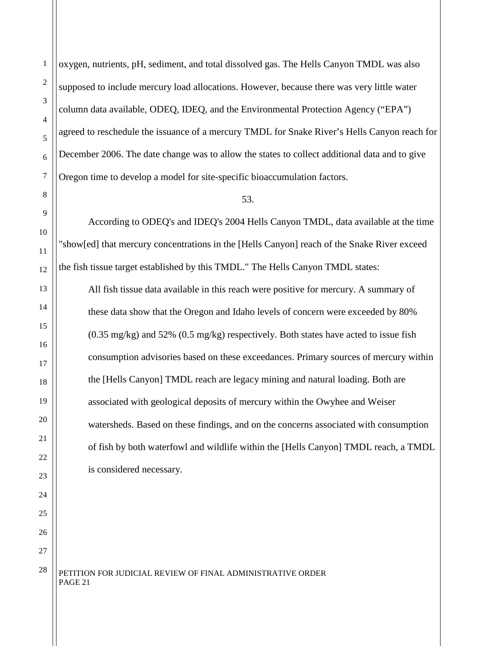oxygen, nutrients, pH, sediment, and total dissolved gas. The Hells Canyon TMDL was also supposed to include mercury load allocations. However, because there was very little water column data available, ODEQ, IDEQ, and the Environmental Protection Agency ("EPA") agreed to reschedule the issuance of a mercury TMDL for Snake River's Hells Canyon reach for December 2006. The date change was to allow the states to collect additional data and to give Oregon time to develop a model for site-specific bioaccumulation factors.

#### 53.

According to ODEQ's and IDEQ's 2004 Hells Canyon TMDL, data available at the time "show[ed] that mercury concentrations in the [Hells Canyon] reach of the Snake River exceed the fish tissue target established by this TMDL." The Hells Canyon TMDL states:

All fish tissue data available in this reach were positive for mercury. A summary of these data show that the Oregon and Idaho levels of concern were exceeded by 80% (0.35 mg/kg) and 52% (0.5 mg/kg) respectively. Both states have acted to issue fish consumption advisories based on these exceedances. Primary sources of mercury within the [Hells Canyon] TMDL reach are legacy mining and natural loading. Both are associated with geological deposits of mercury within the Owyhee and Weiser watersheds. Based on these findings, and on the concerns associated with consumption of fish by both waterfowl and wildlife within the [Hells Canyon] TMDL reach, a TMDL is considered necessary.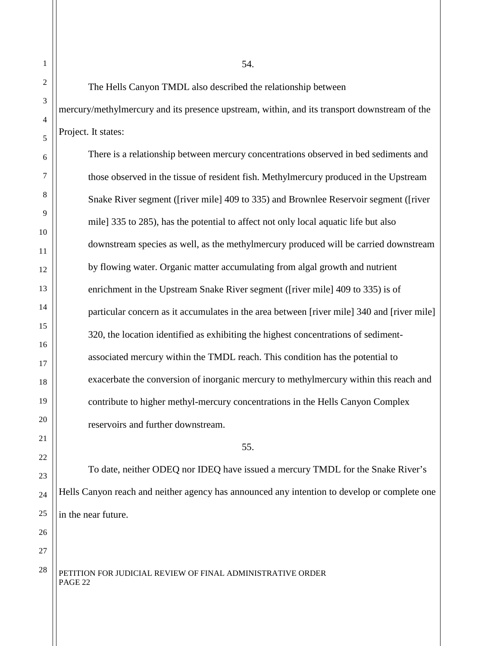The Hells Canyon TMDL also described the relationship between mercury/methylmercury and its presence upstream, within, and its transport downstream of the Project. It states:

There is a relationship between mercury concentrations observed in bed sediments and those observed in the tissue of resident fish. Methylmercury produced in the Upstream Snake River segment ([river mile] 409 to 335) and Brownlee Reservoir segment ([river mile] 335 to 285), has the potential to affect not only local aquatic life but also downstream species as well, as the methylmercury produced will be carried downstream by flowing water. Organic matter accumulating from algal growth and nutrient enrichment in the Upstream Snake River segment ([river mile] 409 to 335) is of particular concern as it accumulates in the area between [river mile] 340 and [river mile] 320, the location identified as exhibiting the highest concentrations of sedimentassociated mercury within the TMDL reach. This condition has the potential to exacerbate the conversion of inorganic mercury to methylmercury within this reach and contribute to higher methyl-mercury concentrations in the Hells Canyon Complex reservoirs and further downstream.

55.

To date, neither ODEQ nor IDEQ have issued a mercury TMDL for the Snake River's Hells Canyon reach and neither agency has announced any intention to develop or complete one in the near future.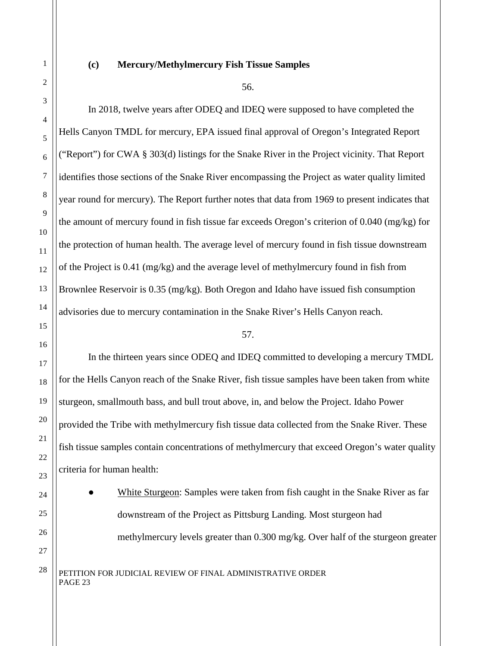#### **(c) Mercury/Methylmercury Fish Tissue Samples**

56.

In 2018, twelve years after ODEQ and IDEQ were supposed to have completed the Hells Canyon TMDL for mercury, EPA issued final approval of Oregon's Integrated Report ("Report") for CWA § 303(d) listings for the Snake River in the Project vicinity. That Report identifies those sections of the Snake River encompassing the Project as water quality limited year round for mercury). The Report further notes that data from 1969 to present indicates that the amount of mercury found in fish tissue far exceeds Oregon's criterion of 0.040 (mg/kg) for the protection of human health. The average level of mercury found in fish tissue downstream of the Project is 0.41 (mg/kg) and the average level of methylmercury found in fish from Brownlee Reservoir is 0.35 (mg/kg). Both Oregon and Idaho have issued fish consumption advisories due to mercury contamination in the Snake River's Hells Canyon reach.

#### 57.

In the thirteen years since ODEQ and IDEQ committed to developing a mercury TMDL for the Hells Canyon reach of the Snake River, fish tissue samples have been taken from white sturgeon, smallmouth bass, and bull trout above, in, and below the Project. Idaho Power provided the Tribe with methylmercury fish tissue data collected from the Snake River. These fish tissue samples contain concentrations of methylmercury that exceed Oregon's water quality criteria for human health:

White Sturgeon: Samples were taken from fish caught in the Snake River as far downstream of the Project as Pittsburg Landing. Most sturgeon had methylmercury levels greater than 0.300 mg/kg. Over half of the sturgeon greater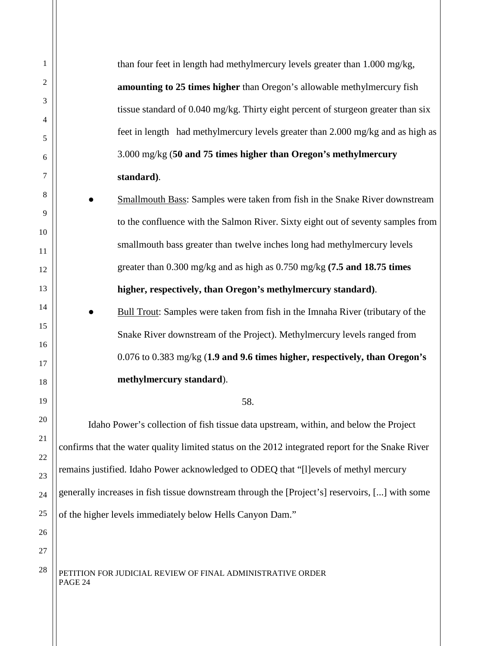1 2 3 4 5 6 7 8 9 10 11 12 13 14 15 16 17 18 19 20 21 22 23 24 25 26 27  $28$  PETITION FOR JUDICIAL REVIEW OF FINAL ADMINISTRATIVE ORDER PAGE 24 than four feet in length had methylmercury levels greater than 1.000 mg/kg, **amounting to 25 times higher** than Oregon's allowable methylmercury fish tissue standard of 0.040 mg/kg. Thirty eight percent of sturgeon greater than six feet in length had methylmercury levels greater than 2.000 mg/kg and as high as 3.000 mg/kg (**50 and 75 times higher than Oregon's methylmercury standard)**. Smallmouth Bass: Samples were taken from fish in the Snake River downstream to the confluence with the Salmon River. Sixty eight out of seventy samples from smallmouth bass greater than twelve inches long had methylmercury levels greater than 0.300 mg/kg and as high as 0.750 mg/kg **(7.5 and 18.75 times higher, respectively, than Oregon's methylmercury standard)**. Bull Trout: Samples were taken from fish in the Imnaha River (tributary of the Snake River downstream of the Project). Methylmercury levels ranged from 0.076 to 0.383 mg/kg (**1.9 and 9.6 times higher, respectively, than Oregon's methylmercury standard**). 58. Idaho Power's collection of fish tissue data upstream, within, and below the Project confirms that the water quality limited status on the 2012 integrated report for the Snake River remains justified. Idaho Power acknowledged to ODEQ that "[l]evels of methyl mercury generally increases in fish tissue downstream through the [Project's] reservoirs, [...] with some of the higher levels immediately below Hells Canyon Dam."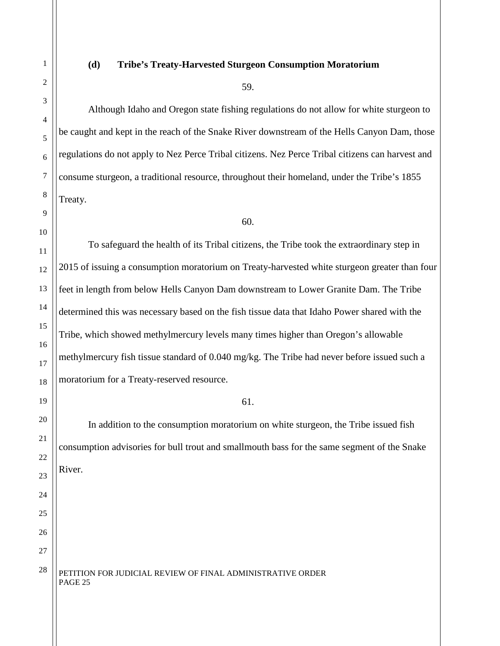# 1 2 3 4 5 6 7 8 9 10 11 12 13 14 15 16 17 18 19 20 21 22 23 24 25 26

27

#### **(d) Tribe's Treaty-Harvested Sturgeon Consumption Moratorium**

#### 59.

Although Idaho and Oregon state fishing regulations do not allow for white sturgeon to be caught and kept in the reach of the Snake River downstream of the Hells Canyon Dam, those regulations do not apply to Nez Perce Tribal citizens. Nez Perce Tribal citizens can harvest and consume sturgeon, a traditional resource, throughout their homeland, under the Tribe's 1855 Treaty.

#### 60.

To safeguard the health of its Tribal citizens, the Tribe took the extraordinary step in 2015 of issuing a consumption moratorium on Treaty-harvested white sturgeon greater than four feet in length from below Hells Canyon Dam downstream to Lower Granite Dam. The Tribe determined this was necessary based on the fish tissue data that Idaho Power shared with the Tribe, which showed methylmercury levels many times higher than Oregon's allowable methylmercury fish tissue standard of 0.040 mg/kg. The Tribe had never before issued such a moratorium for a Treaty-reserved resource.

#### 61.

In addition to the consumption moratorium on white sturgeon, the Tribe issued fish consumption advisories for bull trout and smallmouth bass for the same segment of the Snake River.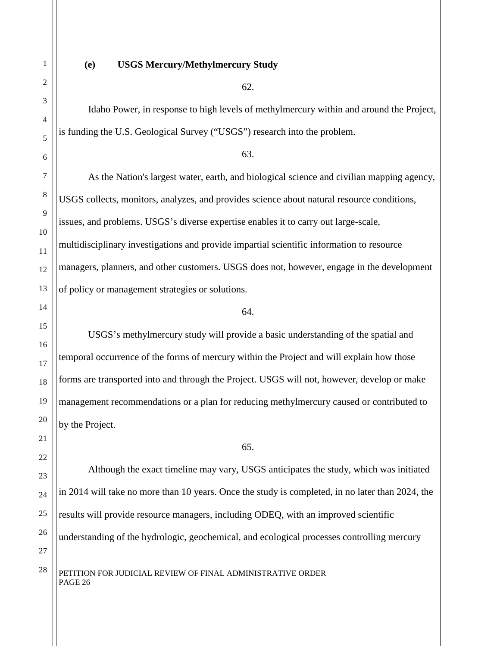#### **(e) USGS Mercury/Methylmercury Study**

62.

Idaho Power, in response to high levels of methylmercury within and around the Project, is funding the U.S. Geological Survey ("USGS") research into the problem.

63.

As the Nation's largest water, earth, and biological science and civilian mapping agency, USGS collects, monitors, analyzes, and provides science about natural resource conditions, issues, and problems. USGS's diverse expertise enables it to carry out large-scale, multidisciplinary investigations and provide impartial scientific information to resource managers, planners, and other customers. USGS does not, however, engage in the development of policy or management strategies or solutions.

#### 64.

USGS's methylmercury study will provide a basic understanding of the spatial and temporal occurrence of the forms of mercury within the Project and will explain how those forms are transported into and through the Project. USGS will not, however, develop or make management recommendations or a plan for reducing methylmercury caused or contributed to by the Project.

65.

Although the exact timeline may vary, USGS anticipates the study, which was initiated in 2014 will take no more than 10 years. Once the study is completed, in no later than 2024, the results will provide resource managers, including ODEQ, with an improved scientific understanding of the hydrologic, geochemical, and ecological processes controlling mercury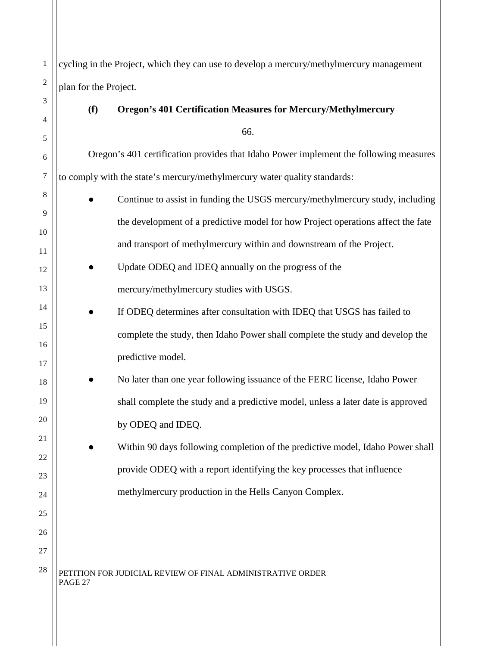1 2 3 4 5 6 7 8 9 10 11 12 13 14 15 16 17 18 19 20 21 22 23 24 25 26 27  $28$  | PETITION FOR JUDICIAL REVIEW OF FINAL ADMINISTRATIVE ORDER PAGE 27 cycling in the Project, which they can use to develop a mercury/methylmercury management plan for the Project. **(f) Oregon's 401 Certification Measures for Mercury/Methylmercury** 66. Oregon's 401 certification provides that Idaho Power implement the following measures to comply with the state's mercury/methylmercury water quality standards: Continue to assist in funding the USGS mercury/methylmercury study, including the development of a predictive model for how Project operations affect the fate and transport of methylmercury within and downstream of the Project. Update ODEQ and IDEQ annually on the progress of the mercury/methylmercury studies with USGS. If ODEQ determines after consultation with IDEQ that USGS has failed to complete the study, then Idaho Power shall complete the study and develop the predictive model. No later than one year following issuance of the FERC license, Idaho Power shall complete the study and a predictive model, unless a later date is approved by ODEQ and IDEQ. Within 90 days following completion of the predictive model, Idaho Power shall provide ODEQ with a report identifying the key processes that influence methylmercury production in the Hells Canyon Complex.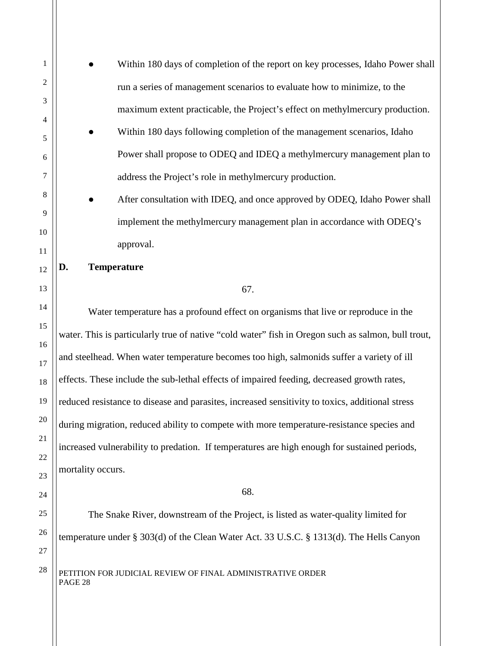1 2 3 4 5 6 7 8 9 10 11 12 13 14 15 16 17 18 19 20 21 22 23 24 25 26 27  $28$  | PETITION FOR JUDICIAL REVIEW OF FINAL ADMINISTRATIVE ORDER PAGE 28 Within 180 days of completion of the report on key processes, Idaho Power shall run a series of management scenarios to evaluate how to minimize, to the maximum extent practicable, the Project's effect on methylmercury production. Within 180 days following completion of the management scenarios, Idaho Power shall propose to ODEQ and IDEQ a methylmercury management plan to address the Project's role in methylmercury production. After consultation with IDEQ, and once approved by ODEQ, Idaho Power shall implement the methylmercury management plan in accordance with ODEQ's approval. **D. Temperature** 67. Water temperature has a profound effect on organisms that live or reproduce in the water. This is particularly true of native "cold water" fish in Oregon such as salmon, bull trout, and steelhead. When water temperature becomes too high, salmonids suffer a variety of ill effects. These include the sub-lethal effects of impaired feeding, decreased growth rates, reduced resistance to disease and parasites, increased sensitivity to toxics, additional stress during migration, reduced ability to compete with more temperature-resistance species and increased vulnerability to predation. If temperatures are high enough for sustained periods, mortality occurs. 68. The Snake River, downstream of the Project, is listed as water-quality limited for temperature under § 303(d) of the Clean Water Act. 33 U.S.C. § 1313(d). The Hells Canyon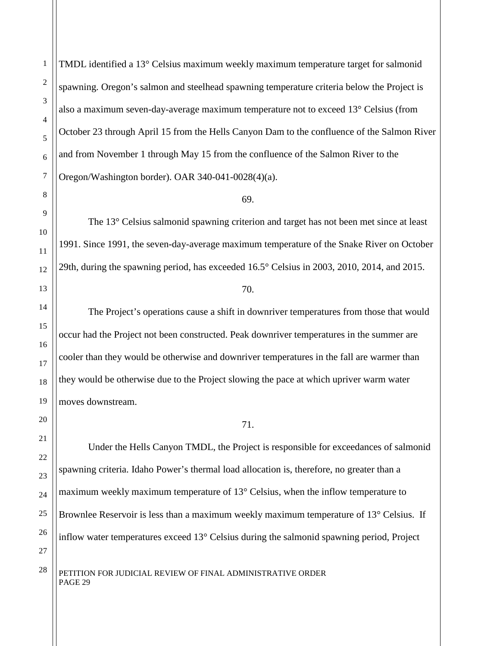TMDL identified a 13° Celsius maximum weekly maximum temperature target for salmonid spawning. Oregon's salmon and steelhead spawning temperature criteria below the Project is also a maximum seven-day-average maximum temperature not to exceed 13° Celsius (from October 23 through April 15 from the Hells Canyon Dam to the confluence of the Salmon River and from November 1 through May 15 from the confluence of the Salmon River to the Oregon/Washington border). OAR 340-041-0028(4)(a).

#### 69.

The 13° Celsius salmonid spawning criterion and target has not been met since at least 1991. Since 1991, the seven-day-average maximum temperature of the Snake River on October 29th, during the spawning period, has exceeded 16.5° Celsius in 2003, 2010, 2014, and 2015.

#### 70.

The Project's operations cause a shift in downriver temperatures from those that would occur had the Project not been constructed. Peak downriver temperatures in the summer are cooler than they would be otherwise and downriver temperatures in the fall are warmer than they would be otherwise due to the Project slowing the pace at which upriver warm water moves downstream.

#### 71.

Under the Hells Canyon TMDL, the Project is responsible for exceedances of salmonid spawning criteria. Idaho Power's thermal load allocation is, therefore, no greater than a maximum weekly maximum temperature of 13° Celsius, when the inflow temperature to Brownlee Reservoir is less than a maximum weekly maximum temperature of 13° Celsius. If inflow water temperatures exceed 13° Celsius during the salmonid spawning period, Project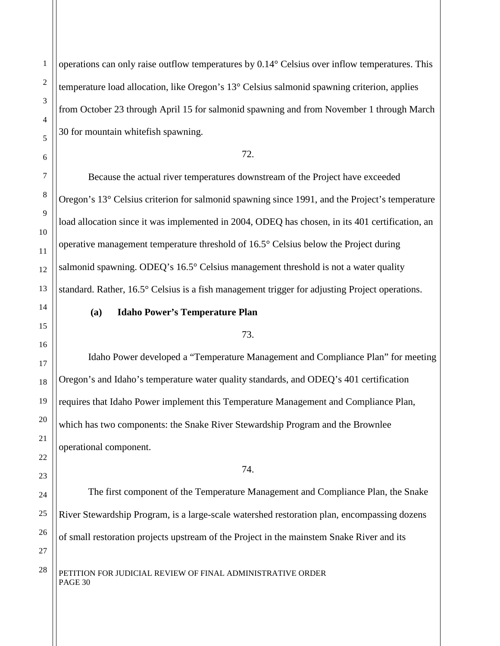operations can only raise outflow temperatures by 0.14° Celsius over inflow temperatures. This temperature load allocation, like Oregon's 13° Celsius salmonid spawning criterion, applies from October 23 through April 15 for salmonid spawning and from November 1 through March 30 for mountain whitefish spawning.

#### 72.

Because the actual river temperatures downstream of the Project have exceeded Oregon's 13° Celsius criterion for salmonid spawning since 1991, and the Project's temperature load allocation since it was implemented in 2004, ODEQ has chosen, in its 401 certification, an operative management temperature threshold of 16.5° Celsius below the Project during salmonid spawning. ODEQ's 16.5° Celsius management threshold is not a water quality standard. Rather, 16.5° Celsius is a fish management trigger for adjusting Project operations.

#### **(a) Idaho Power's Temperature Plan**

#### 73.

Idaho Power developed a "Temperature Management and Compliance Plan" for meeting Oregon's and Idaho's temperature water quality standards, and ODEQ's 401 certification requires that Idaho Power implement this Temperature Management and Compliance Plan, which has two components: the Snake River Stewardship Program and the Brownlee operational component.

#### 74.

The first component of the Temperature Management and Compliance Plan, the Snake River Stewardship Program, is a large-scale watershed restoration plan, encompassing dozens of small restoration projects upstream of the Project in the mainstem Snake River and its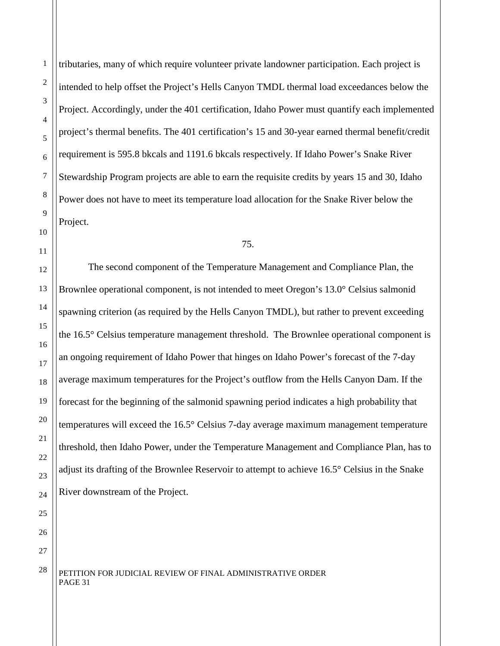1

2

tributaries, many of which require volunteer private landowner participation. Each project is intended to help offset the Project's Hells Canyon TMDL thermal load exceedances below the Project. Accordingly, under the 401 certification, Idaho Power must quantify each implemented project's thermal benefits. The 401 certification's 15 and 30-year earned thermal benefit/credit requirement is 595.8 bkcals and 1191.6 bkcals respectively. If Idaho Power's Snake River Stewardship Program projects are able to earn the requisite credits by years 15 and 30, Idaho Power does not have to meet its temperature load allocation for the Snake River below the

75.

The second component of the Temperature Management and Compliance Plan, the Brownlee operational component, is not intended to meet Oregon's 13.0° Celsius salmonid spawning criterion (as required by the Hells Canyon TMDL), but rather to prevent exceeding the 16.5° Celsius temperature management threshold. The Brownlee operational component is an ongoing requirement of Idaho Power that hinges on Idaho Power's forecast of the 7-day average maximum temperatures for the Project's outflow from the Hells Canyon Dam. If the forecast for the beginning of the salmonid spawning period indicates a high probability that temperatures will exceed the 16.5° Celsius 7-day average maximum management temperature threshold, then Idaho Power, under the Temperature Management and Compliance Plan, has to adjust its drafting of the Brownlee Reservoir to attempt to achieve 16.5° Celsius in the Snake River downstream of the Project.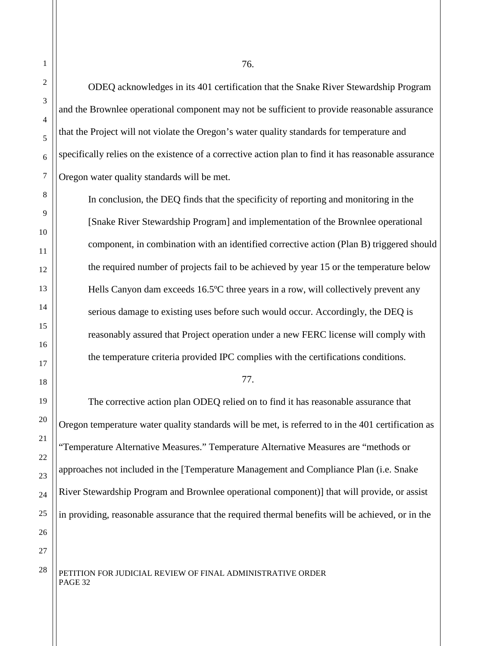ODEQ acknowledges in its 401 certification that the Snake River Stewardship Program and the Brownlee operational component may not be sufficient to provide reasonable assurance that the Project will not violate the Oregon's water quality standards for temperature and specifically relies on the existence of a corrective action plan to find it has reasonable assurance Oregon water quality standards will be met.

In conclusion, the DEQ finds that the specificity of reporting and monitoring in the [Snake River Stewardship Program] and implementation of the Brownlee operational component, in combination with an identified corrective action (Plan B) triggered should the required number of projects fail to be achieved by year 15 or the temperature below Hells Canyon dam exceeds 16.5ºC three years in a row, will collectively prevent any serious damage to existing uses before such would occur. Accordingly, the DEQ is reasonably assured that Project operation under a new FERC license will comply with the temperature criteria provided IPC complies with the certifications conditions.

#### 77.

The corrective action plan ODEQ relied on to find it has reasonable assurance that Oregon temperature water quality standards will be met, is referred to in the 401 certification as "Temperature Alternative Measures." Temperature Alternative Measures are "methods or approaches not included in the [Temperature Management and Compliance Plan (i.e. Snake River Stewardship Program and Brownlee operational component)] that will provide, or assist in providing, reasonable assurance that the required thermal benefits will be achieved, or in the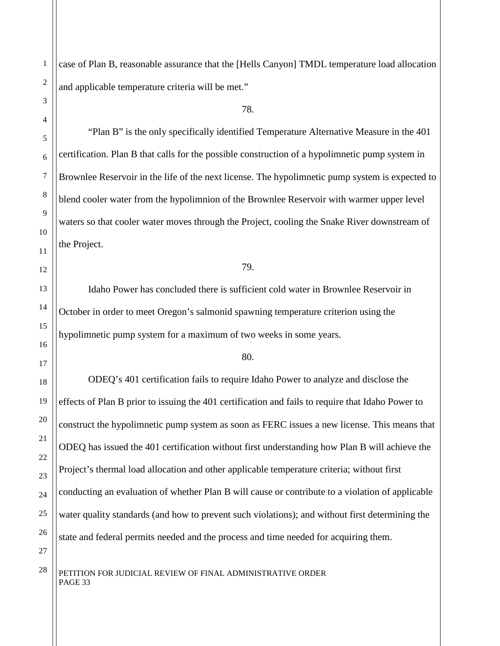case of Plan B, reasonable assurance that the [Hells Canyon] TMDL temperature load allocation and applicable temperature criteria will be met."

78.

"Plan B" is the only specifically identified Temperature Alternative Measure in the 401 certification. Plan B that calls for the possible construction of a hypolimnetic pump system in Brownlee Reservoir in the life of the next license. The hypolimnetic pump system is expected to blend cooler water from the hypolimnion of the Brownlee Reservoir with warmer upper level waters so that cooler water moves through the Project, cooling the Snake River downstream of the Project.

79.

Idaho Power has concluded there is sufficient cold water in Brownlee Reservoir in October in order to meet Oregon's salmonid spawning temperature criterion using the hypolimnetic pump system for a maximum of two weeks in some years.

80.

ODEQ's 401 certification fails to require Idaho Power to analyze and disclose the effects of Plan B prior to issuing the 401 certification and fails to require that Idaho Power to construct the hypolimnetic pump system as soon as FERC issues a new license. This means that ODEQ has issued the 401 certification without first understanding how Plan B will achieve the Project's thermal load allocation and other applicable temperature criteria; without first conducting an evaluation of whether Plan B will cause or contribute to a violation of applicable water quality standards (and how to prevent such violations); and without first determining the state and federal permits needed and the process and time needed for acquiring them.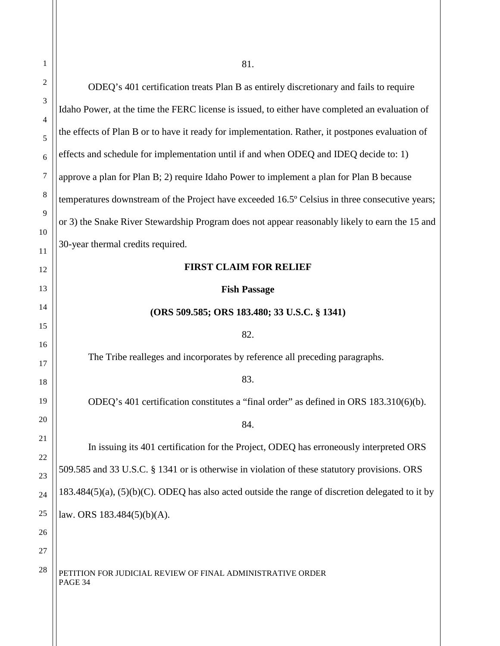| 1        | 81.                                                                                                    |
|----------|--------------------------------------------------------------------------------------------------------|
| 2        | ODEQ's 401 certification treats Plan B as entirely discretionary and fails to require                  |
| 3        | Idaho Power, at the time the FERC license is issued, to either have completed an evaluation of         |
| 4<br>5   | the effects of Plan B or to have it ready for implementation. Rather, it postpones evaluation of       |
| 6        | effects and schedule for implementation until if and when ODEQ and IDEQ decide to: 1)                  |
| 7        | approve a plan for Plan B; 2) require Idaho Power to implement a plan for Plan B because               |
| 8        | temperatures downstream of the Project have exceeded 16.5° Celsius in three consecutive years;         |
| 9        | or 3) the Snake River Stewardship Program does not appear reasonably likely to earn the 15 and         |
| 10<br>11 | 30-year thermal credits required.                                                                      |
| 12       | <b>FIRST CLAIM FOR RELIEF</b>                                                                          |
| 13       | <b>Fish Passage</b>                                                                                    |
| 14       | (ORS 509.585; ORS 183.480; 33 U.S.C. § 1341)                                                           |
| 15       | 82.                                                                                                    |
| 16<br>17 | The Tribe realleges and incorporates by reference all preceding paragraphs.                            |
| 18       | 83.                                                                                                    |
| 19       | ODEQ's 401 certification constitutes a "final order" as defined in ORS 183.310(6)(b).                  |
| 20       | 84.                                                                                                    |
| 21       | In issuing its 401 certification for the Project, ODEQ has erroneously interpreted ORS                 |
| 22<br>23 | 509.585 and 33 U.S.C. § 1341 or is otherwise in violation of these statutory provisions. ORS           |
| 24       | $183.484(5)(a)$ , $(5)(b)(C)$ . ODEQ has also acted outside the range of discretion delegated to it by |
| 25       | law. ORS $183.484(5)(b)(A)$ .                                                                          |
| 26       |                                                                                                        |
| 27       |                                                                                                        |
| 28       | PETITION FOR JUDICIAL REVIEW OF FINAL ADMINISTRATIVE ORDER<br>PAGE 34                                  |
|          |                                                                                                        |
|          |                                                                                                        |
|          |                                                                                                        |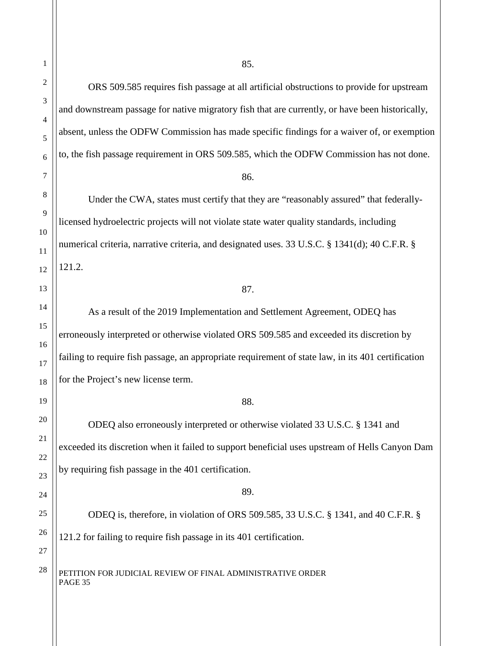ORS 509.585 requires fish passage at all artificial obstructions to provide for upstream and downstream passage for native migratory fish that are currently, or have been historically, absent, unless the ODFW Commission has made specific findings for a waiver of, or exemption to, the fish passage requirement in ORS 509.585, which the ODFW Commission has not done. 86. Under the CWA, states must certify that they are "reasonably assured" that federallylicensed hydroelectric projects will not violate state water quality standards, including numerical criteria, narrative criteria, and designated uses. 33 U.S.C. § 1341(d); 40 C.F.R. § 121.2. 87. As a result of the 2019 Implementation and Settlement Agreement, ODEQ has erroneously interpreted or otherwise violated ORS 509.585 and exceeded its discretion by failing to require fish passage, an appropriate requirement of state law, in its 401 certification for the Project's new license term. 88. ODEQ also erroneously interpreted or otherwise violated 33 U.S.C. § 1341 and exceeded its discretion when it failed to support beneficial uses upstream of Hells Canyon Dam by requiring fish passage in the 401 certification. 89. ODEQ is, therefore, in violation of ORS 509.585, 33 U.S.C. § 1341, and 40 C.F.R. § 121.2 for failing to require fish passage in its 401 certification.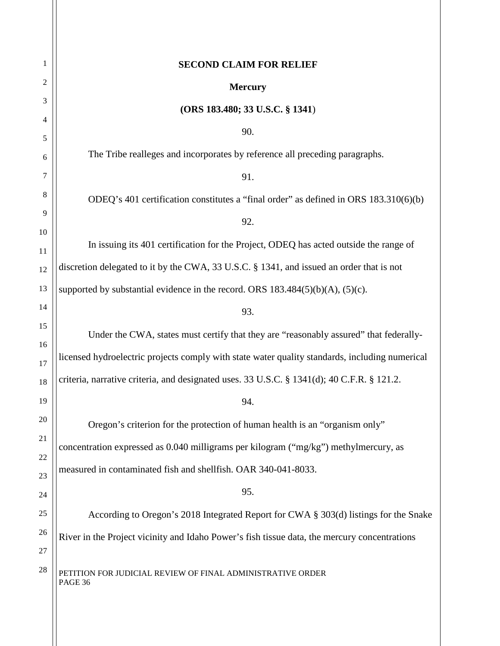| 1        | <b>SECOND CLAIM FOR RELIEF</b>                                                                 |
|----------|------------------------------------------------------------------------------------------------|
| 2        | <b>Mercury</b>                                                                                 |
| 3        | (ORS 183.480; 33 U.S.C. § 1341)                                                                |
| 4        | 90.                                                                                            |
| 5        |                                                                                                |
| 6        | The Tribe realleges and incorporates by reference all preceding paragraphs.                    |
| 7        | 91.                                                                                            |
| 8        | ODEQ's 401 certification constitutes a "final order" as defined in ORS 183.310(6)(b)           |
| 9        | 92.                                                                                            |
| 10       | In issuing its 401 certification for the Project, ODEQ has acted outside the range of          |
| 11       | discretion delegated to it by the CWA, 33 U.S.C. § 1341, and issued an order that is not       |
| 12       |                                                                                                |
| 13       | supported by substantial evidence in the record. ORS $183.484(5)(b)(A)$ , $(5)(c)$ .           |
| 14       | 93.                                                                                            |
| 15       | Under the CWA, states must certify that they are "reasonably assured" that federally-          |
| 16<br>17 | licensed hydroelectric projects comply with state water quality standards, including numerical |
| 18       | criteria, narrative criteria, and designated uses. 33 U.S.C. § 1341(d); 40 C.F.R. § 121.2.     |
| 19       | 94.                                                                                            |
| 20       | Oregon's criterion for the protection of human health is an "organism only"                    |
| 21       |                                                                                                |
| 22       | concentration expressed as 0.040 milligrams per kilogram ("mg/kg") methylmercury, as           |
| 23       | measured in contaminated fish and shellfish. OAR 340-041-8033.                                 |
| 24       | 95.                                                                                            |
| 25       | According to Oregon's 2018 Integrated Report for CWA § 303(d) listings for the Snake           |
| 26       | River in the Project vicinity and Idaho Power's fish tissue data, the mercury concentrations   |
| 27       |                                                                                                |
| 28       | PETITION FOR JUDICIAL REVIEW OF FINAL ADMINISTRATIVE ORDER<br>PAGE 36                          |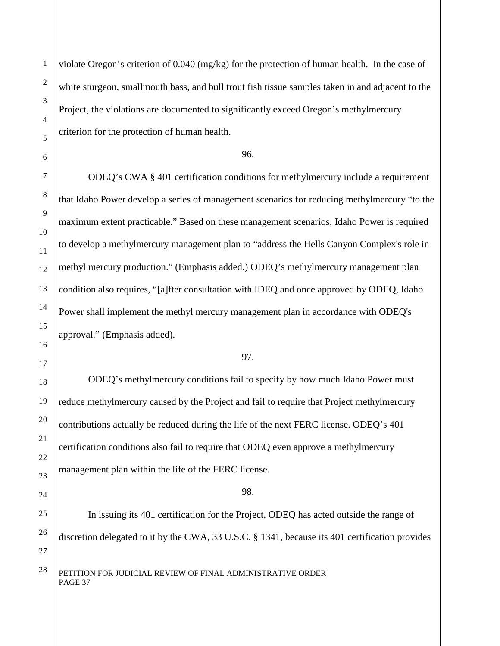violate Oregon's criterion of 0.040 (mg/kg) for the protection of human health. In the case of white sturgeon, smallmouth bass, and bull trout fish tissue samples taken in and adjacent to the Project, the violations are documented to significantly exceed Oregon's methylmercury criterion for the protection of human health.

96.

ODEQ's CWA § 401 certification conditions for methylmercury include a requirement that Idaho Power develop a series of management scenarios for reducing methylmercury "to the maximum extent practicable." Based on these management scenarios, Idaho Power is required to develop a methylmercury management plan to "address the Hells Canyon Complex's role in methyl mercury production." (Emphasis added.) ODEQ's methylmercury management plan condition also requires, "[a]fter consultation with IDEQ and once approved by ODEQ, Idaho Power shall implement the methyl mercury management plan in accordance with ODEQ's approval." (Emphasis added).

97.

ODEQ's methylmercury conditions fail to specify by how much Idaho Power must reduce methylmercury caused by the Project and fail to require that Project methylmercury contributions actually be reduced during the life of the next FERC license. ODEQ's 401 certification conditions also fail to require that ODEQ even approve a methylmercury management plan within the life of the FERC license.

#### 98.

In issuing its 401 certification for the Project, ODEQ has acted outside the range of discretion delegated to it by the CWA, 33 U.S.C. § 1341, because its 401 certification provides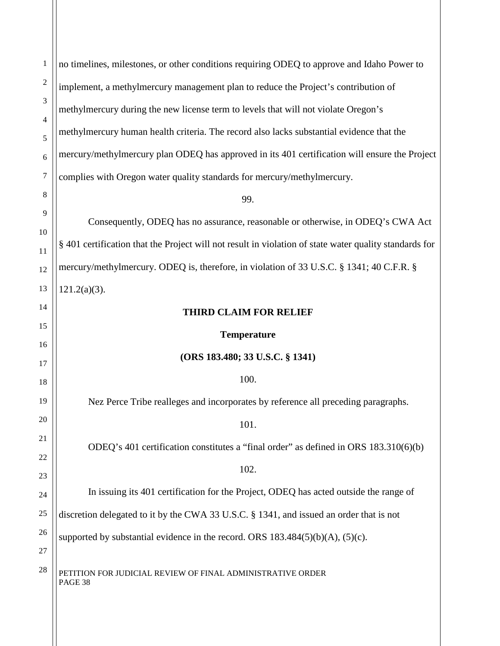| $\mathbf{1}$     | no timelines, milestones, or other conditions requiring ODEQ to approve and Idaho Power to             |
|------------------|--------------------------------------------------------------------------------------------------------|
| $\mathfrak{2}$   | implement, a methylmercury management plan to reduce the Project's contribution of                     |
| 3                | methylmercury during the new license term to levels that will not violate Oregon's                     |
| 4<br>5           | methylmercury human health criteria. The record also lacks substantial evidence that the               |
| 6                | mercury/methylmercury plan ODEQ has approved in its 401 certification will ensure the Project          |
| $\boldsymbol{7}$ | complies with Oregon water quality standards for mercury/methylmercury.                                |
| $\,8\,$          | 99.                                                                                                    |
| 9                | Consequently, ODEQ has no assurance, reasonable or otherwise, in ODEQ's CWA Act                        |
| 10               | § 401 certification that the Project will not result in violation of state water quality standards for |
| 11               | mercury/methylmercury. ODEQ is, therefore, in violation of 33 U.S.C. § 1341; 40 C.F.R. §               |
| 12<br>13         | $121.2(a)(3)$ .                                                                                        |
|                  |                                                                                                        |
| 14               | <b>THIRD CLAIM FOR RELIEF</b>                                                                          |
| 15               | <b>Temperature</b>                                                                                     |
| 16<br>17         | (ORS 183.480; 33 U.S.C. § 1341)                                                                        |
| 18               | 100.                                                                                                   |
| 19               | Nez Perce Tribe realleges and incorporates by reference all preceding paragraphs.                      |
| 20               | 101.                                                                                                   |
| 21               | ODEQ's 401 certification constitutes a "final order" as defined in ORS 183.310(6)(b)                   |
| 22               | 102.                                                                                                   |
| 23<br>24         | In issuing its 401 certification for the Project, ODEQ has acted outside the range of                  |
| 25               | discretion delegated to it by the CWA 33 U.S.C. § 1341, and issued an order that is not                |
| 26               |                                                                                                        |
| 27               | supported by substantial evidence in the record. ORS $183.484(5)(b)(A)$ , $(5)(c)$ .                   |
| 28               | PETITION FOR JUDICIAL REVIEW OF FINAL ADMINISTRATIVE ORDER<br>PAGE 38                                  |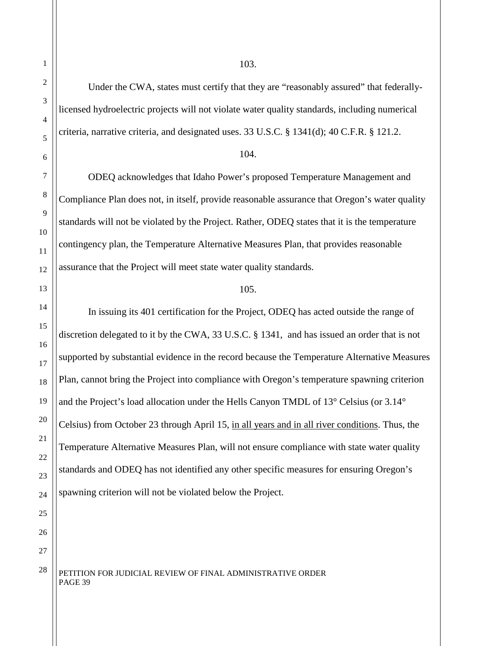Under the CWA, states must certify that they are "reasonably assured" that federallylicensed hydroelectric projects will not violate water quality standards, including numerical criteria, narrative criteria, and designated uses. 33 U.S.C. § 1341(d); 40 C.F.R. § 121.2.

#### 104.

ODEQ acknowledges that Idaho Power's proposed Temperature Management and Compliance Plan does not, in itself, provide reasonable assurance that Oregon's water quality standards will not be violated by the Project. Rather, ODEQ states that it is the temperature contingency plan, the Temperature Alternative Measures Plan, that provides reasonable assurance that the Project will meet state water quality standards.

#### 105.

In issuing its 401 certification for the Project, ODEQ has acted outside the range of discretion delegated to it by the CWA, 33 U.S.C. § 1341, and has issued an order that is not supported by substantial evidence in the record because the Temperature Alternative Measures Plan, cannot bring the Project into compliance with Oregon's temperature spawning criterion and the Project's load allocation under the Hells Canyon TMDL of 13° Celsius (or 3.14° Celsius) from October 23 through April 15, in all years and in all river conditions. Thus, the Temperature Alternative Measures Plan, will not ensure compliance with state water quality standards and ODEQ has not identified any other specific measures for ensuring Oregon's spawning criterion will not be violated below the Project.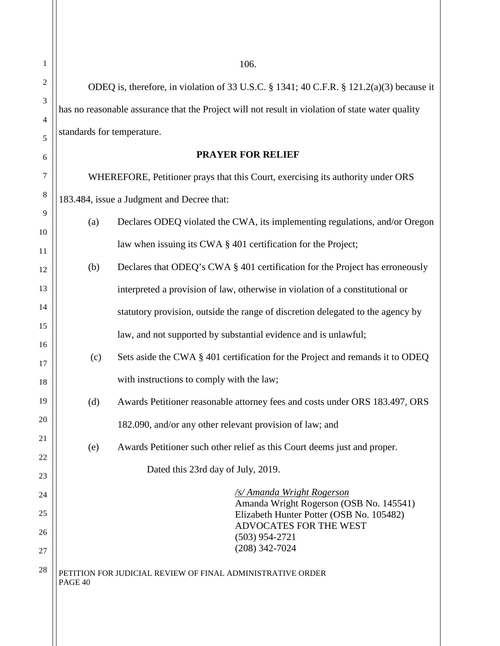$28$  PETITION FOR JUDICIAL REVIEW OF FINAL ADMINISTRATIVE ORDER PAGE 40 ODEQ is, therefore, in violation of 33 U.S.C. § 1341; 40 C.F.R. § 121.2(a)(3) because it has no reasonable assurance that the Project will not result in violation of state water quality standards for temperature. **PRAYER FOR RELIEF** WHEREFORE, Petitioner prays that this Court, exercising its authority under ORS 183.484, issue a Judgment and Decree that: (a) Declares ODEQ violated the CWA, its implementing regulations, and/or Oregon law when issuing its CWA § 401 certification for the Project; (b) Declares that ODEQ's CWA § 401 certification for the Project has erroneously interpreted a provision of law, otherwise in violation of a constitutional or statutory provision, outside the range of discretion delegated to the agency by law, and not supported by substantial evidence and is unlawful; (c) Sets aside the CWA § 401 certification for the Project and remands it to ODEQ with instructions to comply with the law; (d) Awards Petitioner reasonable attorney fees and costs under ORS 183.497, ORS 182.090, and/or any other relevant provision of law; and (e) Awards Petitioner such other relief as this Court deems just and proper. Dated this 23rd day of July, 2019. */s/ Amanda Wright Rogerson* Amanda Wright Rogerson (OSB No. 145541) Elizabeth Hunter Potter (OSB No. 105482) ADVOCATES FOR THE WEST (503) 954-2721 (208) 342-7024